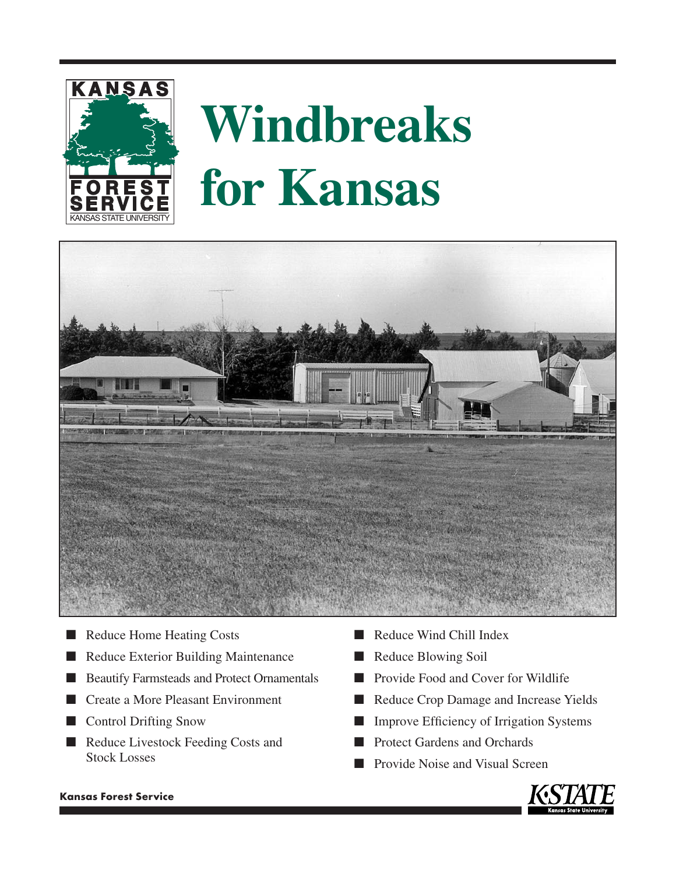

# **Windbreaks for Kansas**



- Reduce Home Heating Costs
- Reduce Exterior Building Maintenance
- Beautify Farmsteads and Protect Ornamentals
- Create a More Pleasant Environment
- Control Drifting Snow
- Reduce Livestock Feeding Costs and Stock Losses
- Reduce Wind Chill Index
- Reduce Blowing Soil
- Provide Food and Cover for Wildlife
- Reduce Crop Damage and Increase Yields
- Improve Efficiency of Irrigation Systems
- Protect Gardens and Orchards
- Provide Noise and Visual Screen



### **Kansas Forest Service**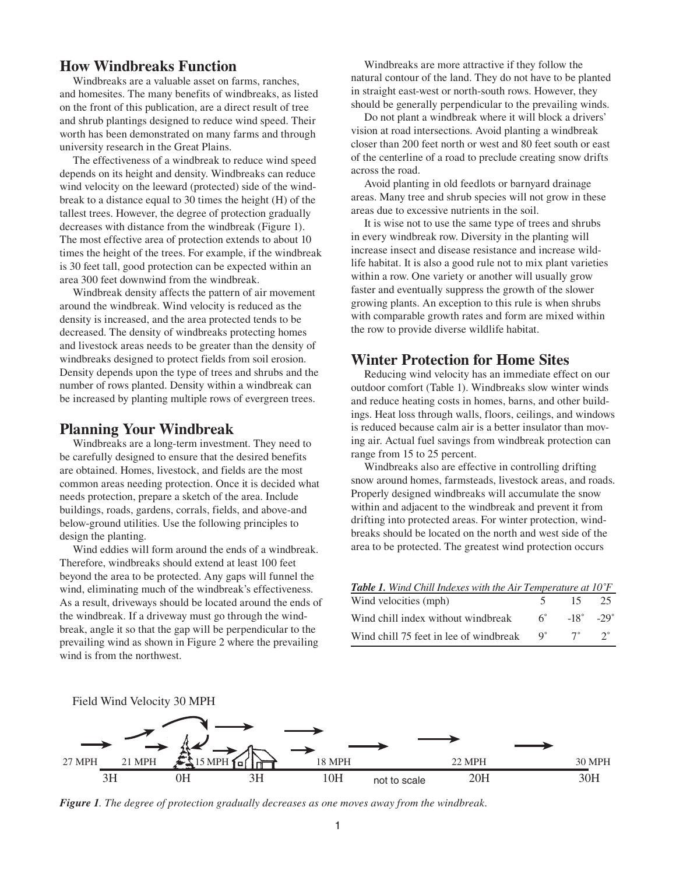## **How Windbreaks Function**

Windbreaks are a valuable asset on farms, ranches, and homesites. The many benefits of windbreaks, as listed on the front of this publication, are a direct result of tree and shrub plantings designed to reduce wind speed. Their worth has been demonstrated on many farms and through university research in the Great Plains.

The effectiveness of a windbreak to reduce wind speed depends on its height and density. Windbreaks can reduce wind velocity on the leeward (protected) side of the windbreak to a distance equal to 30 times the height (H) of the tallest trees. However, the degree of protection gradually decreases with distance from the windbreak (Figure 1). The most effective area of protection extends to about 10 times the height of the trees. For example, if the windbreak is 30 feet tall, good protection can be expected within an area 300 feet downwind from the windbreak.

Windbreak density affects the pattern of air movement around the windbreak. Wind velocity is reduced as the density is increased, and the area protected tends to be decreased. The density of windbreaks protecting homes and livestock areas needs to be greater than the density of windbreaks designed to protect fields from soil erosion. Density depends upon the type of trees and shrubs and the number of rows planted. Density within a windbreak can be increased by planting multiple rows of evergreen trees.

## **Planning Your Windbreak**

Windbreaks are a long-term investment. They need to be carefully designed to ensure that the desired benefits are obtained. Homes, livestock, and fields are the most common areas needing protection. Once it is decided what needs protection, prepare a sketch of the area. Include buildings, roads, gardens, corrals, fields, and above-and below-ground utilities. Use the following principles to design the planting.

Wind eddies will form around the ends of a windbreak. Therefore, windbreaks should extend at least 100 feet beyond the area to be protected. Any gaps will funnel the wind, eliminating much of the windbreak's effectiveness. As a result, driveways should be located around the ends of the windbreak. If a driveway must go through the windbreak, angle it so that the gap will be perpendicular to the prevailing wind as shown in Figure 2 where the prevailing wind is from the northwest.

Windbreaks are more attractive if they follow the natural contour of the land. They do not have to be planted in straight east-west or north-south rows. However, they should be generally perpendicular to the prevailing winds.

Do not plant a windbreak where it will block a drivers' vision at road intersections. Avoid planting a windbreak closer than 200 feet north or west and 80 feet south or east of the centerline of a road to preclude creating snow drifts across the road.

Avoid planting in old feedlots or barnyard drainage areas. Many tree and shrub species will not grow in these areas due to excessive nutrients in the soil.

It is wise not to use the same type of trees and shrubs in every windbreak row. Diversity in the planting will increase insect and disease resistance and increase wildlife habitat. It is also a good rule not to mix plant varieties within a row. One variety or another will usually grow faster and eventually suppress the growth of the slower growing plants. An exception to this rule is when shrubs with comparable growth rates and form are mixed within the row to provide diverse wildlife habitat.

## **Winter Protection for Home Sites**

Reducing wind velocity has an immediate effect on our outdoor comfort (Table 1). Windbreaks slow winter winds and reduce heating costs in homes, barns, and other buildings. Heat loss through walls, floors, ceilings, and windows is reduced because calm air is a better insulator than moving air. Actual fuel savings from windbreak protection can range from 15 to 25 percent.

Windbreaks also are effective in controlling drifting snow around homes, farmsteads, livestock areas, and roads. Properly designed windbreaks will accumulate the snow within and adjacent to the windbreak and prevent it from drifting into protected areas. For winter protection, windbreaks should be located on the north and west side of the area to be protected. The greatest wind protection occurs

| <b>Table 1.</b> Wind Chill Indexes with the Air Temperature at $10^{\circ}F$ |             |                            |             |
|------------------------------------------------------------------------------|-------------|----------------------------|-------------|
| Wind velocities (mph)                                                        |             | $5 \t 15$                  | 25          |
| Wind chill index without windbreak                                           | 6 -         | $-18^{\circ} - 29^{\circ}$ |             |
| Wind chill 75 feet in lee of windbreak                                       | $Q^{\circ}$ | $7^\circ$                  | $2^{\circ}$ |



*Figure 1. The degree of protection gradually decreases as one moves away from the windbreak.*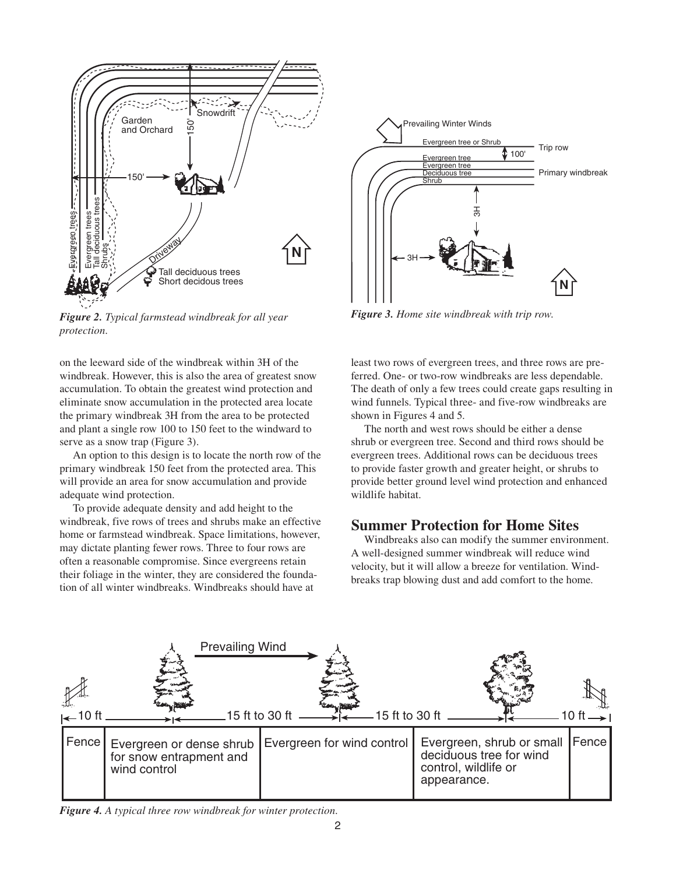

*Figure 2. Typical farmstead windbreak for all year protection.*

on the leeward side of the windbreak within 3H of the windbreak. However, this is also the area of greatest snow accumulation. To obtain the greatest wind protection and eliminate snow accumulation in the protected area locate the primary windbreak 3H from the area to be protected and plant a single row 100 to 150 feet to the windward to serve as a snow trap (Figure 3).

An option to this design is to locate the north row of the primary windbreak 150 feet from the protected area. This will provide an area for snow accumulation and provide adequate wind protection.

To provide adequate density and add height to the windbreak, five rows of trees and shrubs make an effective home or farmstead windbreak. Space limitations, however, may dictate planting fewer rows. Three to four rows are often a reasonable compromise. Since evergreens retain their foliage in the winter, they are considered the foundation of all winter windbreaks. Windbreaks should have at



*Figure 3. Home site windbreak with trip row.*

least two rows of evergreen trees, and three rows are preferred. One- or two-row windbreaks are less dependable. The death of only a few trees could create gaps resulting in wind funnels. Typical three- and five-row windbreaks are shown in Figures 4 and 5.

The north and west rows should be either a dense shrub or evergreen tree. Second and third rows should be evergreen trees. Additional rows can be deciduous trees to provide faster growth and greater height, or shrubs to provide better ground level wind protection and enhanced wildlife habitat.

## **Summer Protection for Home Sites**

Windbreaks also can modify the summer environment. A well-designed summer windbreak will reduce wind velocity, but it will allow a breeze for ventilation. Windbreaks trap blowing dust and add comfort to the home.



*Figure 4. A typical three row windbreak for winter protection.*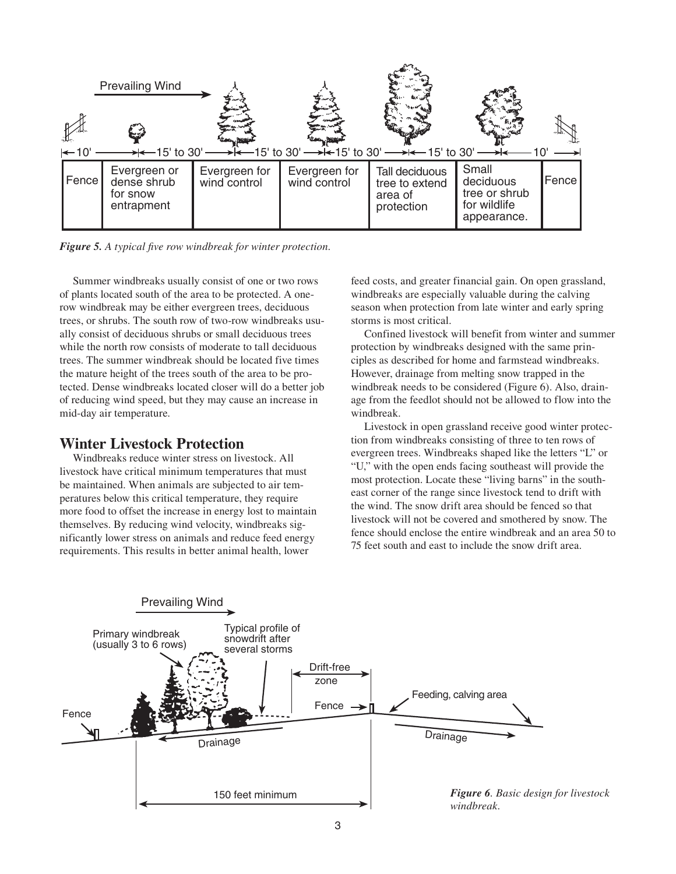

*Figure 5. A typical five row windbreak for winter protection.*

Summer windbreaks usually consist of one or two rows of plants located south of the area to be protected. A onerow windbreak may be either evergreen trees, deciduous trees, or shrubs. The south row of two-row windbreaks usually consist of deciduous shrubs or small deciduous trees while the north row consists of moderate to tall deciduous trees. The summer windbreak should be located five times the mature height of the trees south of the area to be protected. Dense windbreaks located closer will do a better job of reducing wind speed, but they may cause an increase in mid-day air temperature.

## **Winter Livestock Protection**

Windbreaks reduce winter stress on livestock. All livestock have critical minimum temperatures that must be maintained. When animals are subjected to air temperatures below this critical temperature, they require more food to offset the increase in energy lost to maintain themselves. By reducing wind velocity, windbreaks significantly lower stress on animals and reduce feed energy requirements. This results in better animal health, lower

feed costs, and greater financial gain. On open grassland, windbreaks are especially valuable during the calving season when protection from late winter and early spring storms is most critical.

Confined livestock will benefit from winter and summer protection by windbreaks designed with the same principles as described for home and farmstead windbreaks. However, drainage from melting snow trapped in the windbreak needs to be considered (Figure 6). Also, drainage from the feedlot should not be allowed to flow into the windbreak.

Livestock in open grassland receive good winter protection from windbreaks consisting of three to ten rows of evergreen trees. Windbreaks shaped like the letters "L" or "U," with the open ends facing southeast will provide the most protection. Locate these "living barns" in the southeast corner of the range since livestock tend to drift with the wind. The snow drift area should be fenced so that livestock will not be covered and smothered by snow. The fence should enclose the entire windbreak and an area 50 to 75 feet south and east to include the snow drift area.

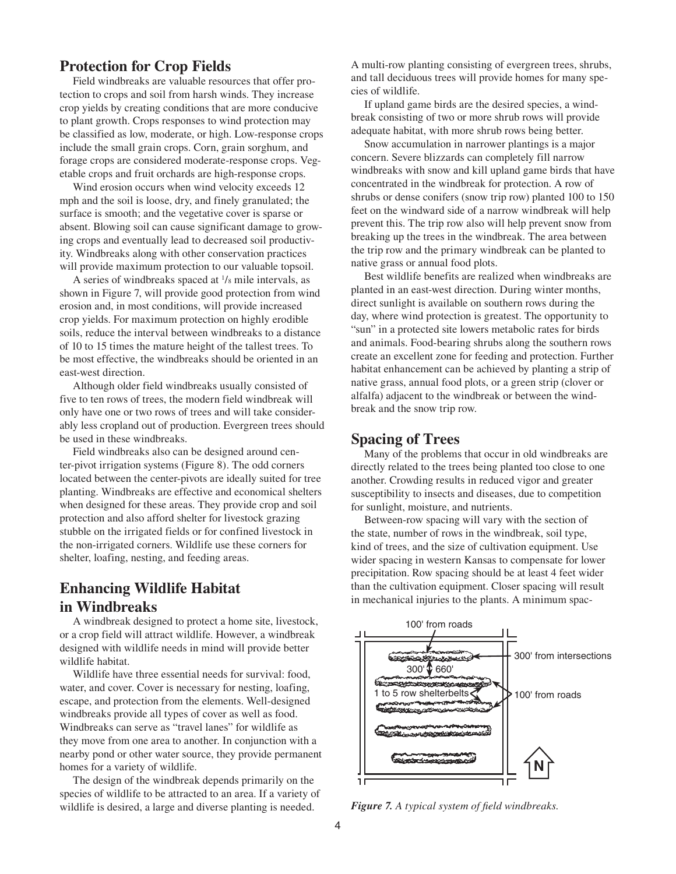## **Protection for Crop Fields**

Field windbreaks are valuable resources that offer protection to crops and soil from harsh winds. They increase crop yields by creating conditions that are more conducive to plant growth. Crops responses to wind protection may be classified as low, moderate, or high. Low-response crops include the small grain crops. Corn, grain sorghum, and forage crops are considered moderate-response crops. Vegetable crops and fruit orchards are high-response crops.

Wind erosion occurs when wind velocity exceeds 12 mph and the soil is loose, dry, and finely granulated; the surface is smooth; and the vegetative cover is sparse or absent. Blowing soil can cause significant damage to growing crops and eventually lead to decreased soil productivity. Windbreaks along with other conservation practices will provide maximum protection to our valuable topsoil.

A series of windbreaks spaced at  $\frac{1}{8}$  mile intervals, as shown in Figure 7, will provide good protection from wind erosion and, in most conditions, will provide increased crop yields. For maximum protection on highly erodible soils, reduce the interval between windbreaks to a distance of 10 to 15 times the mature height of the tallest trees. To be most effective, the windbreaks should be oriented in an east-west direction.

Although older field windbreaks usually consisted of five to ten rows of trees, the modern field windbreak will only have one or two rows of trees and will take considerably less cropland out of production. Evergreen trees should be used in these windbreaks.

Field windbreaks also can be designed around center-pivot irrigation systems (Figure 8). The odd corners located between the center-pivots are ideally suited for tree planting. Windbreaks are effective and economical shelters when designed for these areas. They provide crop and soil protection and also afford shelter for livestock grazing stubble on the irrigated fields or for confined livestock in the non-irrigated corners. Wildlife use these corners for shelter, loafing, nesting, and feeding areas.

## **Enhancing Wildlife Habitat in Windbreaks**

A windbreak designed to protect a home site, livestock, or a crop field will attract wildlife. However, a windbreak designed with wildlife needs in mind will provide better wildlife habitat.

Wildlife have three essential needs for survival: food, water, and cover. Cover is necessary for nesting, loafing, escape, and protection from the elements. Well-designed windbreaks provide all types of cover as well as food. Windbreaks can serve as "travel lanes" for wildlife as they move from one area to another. In conjunction with a nearby pond or other water source, they provide permanent homes for a variety of wildlife.

The design of the windbreak depends primarily on the species of wildlife to be attracted to an area. If a variety of wildlife is desired, a large and diverse planting is needed.

A multi-row planting consisting of evergreen trees, shrubs, and tall deciduous trees will provide homes for many species of wildlife.

If upland game birds are the desired species, a windbreak consisting of two or more shrub rows will provide adequate habitat, with more shrub rows being better.

Snow accumulation in narrower plantings is a major concern. Severe blizzards can completely fill narrow windbreaks with snow and kill upland game birds that have concentrated in the windbreak for protection. A row of shrubs or dense conifers (snow trip row) planted 100 to 150 feet on the windward side of a narrow windbreak will help prevent this. The trip row also will help prevent snow from breaking up the trees in the windbreak. The area between the trip row and the primary windbreak can be planted to native grass or annual food plots.

Best wildlife benefits are realized when windbreaks are planted in an east-west direction. During winter months, direct sunlight is available on southern rows during the day, where wind protection is greatest. The opportunity to "sun" in a protected site lowers metabolic rates for birds and animals. Food-bearing shrubs along the southern rows create an excellent zone for feeding and protection. Further habitat enhancement can be achieved by planting a strip of native grass, annual food plots, or a green strip (clover or alfalfa) adjacent to the windbreak or between the windbreak and the snow trip row.

## **Spacing of Trees**

Many of the problems that occur in old windbreaks are directly related to the trees being planted too close to one another. Crowding results in reduced vigor and greater susceptibility to insects and diseases, due to competition for sunlight, moisture, and nutrients.

Between-row spacing will vary with the section of the state, number of rows in the windbreak, soil type, kind of trees, and the size of cultivation equipment. Use wider spacing in western Kansas to compensate for lower precipitation. Row spacing should be at least 4 feet wider than the cultivation equipment. Closer spacing will result in mechanical injuries to the plants. A minimum spac-



*Figure 7. A typical system of field windbreaks.*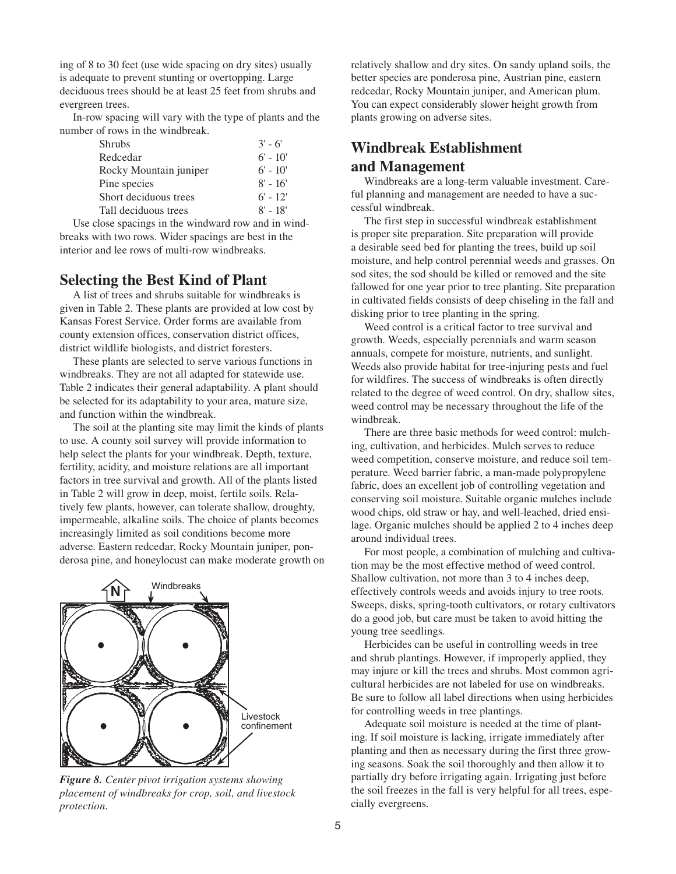ing of 8 to 30 feet (use wide spacing on dry sites) usually is adequate to prevent stunting or overtopping. Large deciduous trees should be at least 25 feet from shrubs and evergreen trees.

In-row spacing will vary with the type of plants and the number of rows in the windbreak.

| <b>Shrubs</b>          | $3' - 6'$  |
|------------------------|------------|
| Redcedar               | $6' - 10'$ |
| Rocky Mountain juniper | $6' - 10'$ |
| Pine species           | $8' - 16'$ |
| Short deciduous trees  | $6' - 12'$ |
| Tall deciduous trees   | $8' - 18'$ |

Use close spacings in the windward row and in windbreaks with two rows. Wider spacings are best in the interior and lee rows of multi-row windbreaks.

### **Selecting the Best Kind of Plant**

A list of trees and shrubs suitable for windbreaks is given in Table 2. These plants are provided at low cost by Kansas Forest Service. Order forms are available from county extension offices, conservation district offices, district wildlife biologists, and district foresters.

These plants are selected to serve various functions in windbreaks. They are not all adapted for statewide use. Table 2 indicates their general adaptability. A plant should be selected for its adaptability to your area, mature size, and function within the windbreak.

The soil at the planting site may limit the kinds of plants to use. A county soil survey will provide information to help select the plants for your windbreak. Depth, texture, fertility, acidity, and moisture relations are all important factors in tree survival and growth. All of the plants listed in Table 2 will grow in deep, moist, fertile soils. Relatively few plants, however, can tolerate shallow, droughty, impermeable, alkaline soils. The choice of plants becomes increasingly limited as soil conditions become more adverse. Eastern redcedar, Rocky Mountain juniper, ponderosa pine, and honeylocust can make moderate growth on



*Figure 8. Center pivot irrigation systems showing placement of windbreaks for crop, soil, and livestock protection.*

relatively shallow and dry sites. On sandy upland soils, the better species are ponderosa pine, Austrian pine, eastern redcedar, Rocky Mountain juniper, and American plum. You can expect considerably slower height growth from plants growing on adverse sites.

# **Windbreak Establishment and Management**

Windbreaks are a long-term valuable investment. Careful planning and management are needed to have a successful windbreak.

The first step in successful windbreak establishment is proper site preparation. Site preparation will provide a desirable seed bed for planting the trees, build up soil moisture, and help control perennial weeds and grasses. On sod sites, the sod should be killed or removed and the site fallowed for one year prior to tree planting. Site preparation in cultivated fields consists of deep chiseling in the fall and disking prior to tree planting in the spring.

Weed control is a critical factor to tree survival and growth. Weeds, especially perennials and warm season annuals, compete for moisture, nutrients, and sunlight. Weeds also provide habitat for tree-injuring pests and fuel for wildfires. The success of windbreaks is often directly related to the degree of weed control. On dry, shallow sites, weed control may be necessary throughout the life of the windbreak.

There are three basic methods for weed control: mulching, cultivation, and herbicides. Mulch serves to reduce weed competition, conserve moisture, and reduce soil temperature. Weed barrier fabric, a man-made polypropylene fabric, does an excellent job of controlling vegetation and conserving soil moisture. Suitable organic mulches include wood chips, old straw or hay, and well-leached, dried ensilage. Organic mulches should be applied 2 to 4 inches deep around individual trees.

For most people, a combination of mulching and cultivation may be the most effective method of weed control. Shallow cultivation, not more than 3 to 4 inches deep, effectively controls weeds and avoids injury to tree roots. Sweeps, disks, spring-tooth cultivators, or rotary cultivators do a good job, but care must be taken to avoid hitting the young tree seedlings.

Herbicides can be useful in controlling weeds in tree and shrub plantings. However, if improperly applied, they may injure or kill the trees and shrubs. Most common agricultural herbicides are not labeled for use on windbreaks. Be sure to follow all label directions when using herbicides for controlling weeds in tree plantings.

Adequate soil moisture is needed at the time of planting. If soil moisture is lacking, irrigate immediately after planting and then as necessary during the first three growing seasons. Soak the soil thoroughly and then allow it to partially dry before irrigating again. Irrigating just before the soil freezes in the fall is very helpful for all trees, especially evergreens.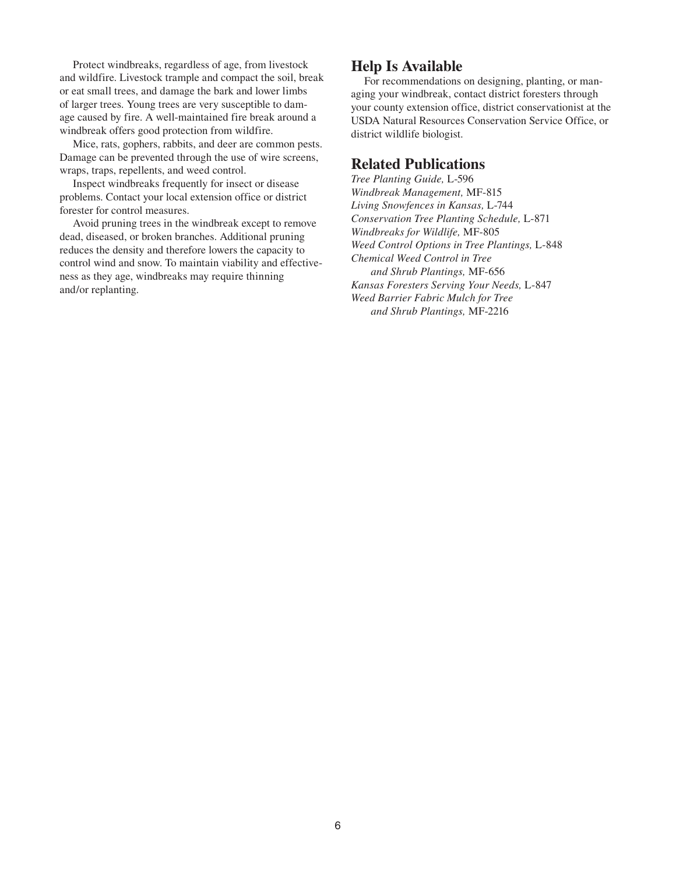Protect windbreaks, regardless of age, from livestock and wildfire. Livestock trample and compact the soil, break or eat small trees, and damage the bark and lower limbs of larger trees. Young trees are very susceptible to damage caused by fire. A well-maintained fire break around a windbreak offers good protection from wildfire.

Mice, rats, gophers, rabbits, and deer are common pests. Damage can be prevented through the use of wire screens, wraps, traps, repellents, and weed control.

Inspect windbreaks frequently for insect or disease problems. Contact your local extension office or district forester for control measures.

Avoid pruning trees in the windbreak except to remove dead, diseased, or broken branches. Additional pruning reduces the density and therefore lowers the capacity to control wind and snow. To maintain viability and effectiveness as they age, windbreaks may require thinning and/or replanting.

## **Help Is Available**

For recommendations on designing, planting, or managing your windbreak, contact district foresters through your county extension office, district conservationist at the USDA Natural Resources Conservation Service Office, or district wildlife biologist.

## **Related Publications**

*Tree Planting Guide,* L-596 *Windbreak Management,* MF-815 *Living Snowfences in Kansas,* L-744 *Conservation Tree Planting Schedule,* L-871 *Windbreaks for Wildlife,* MF-805 *Weed Control Options in Tree Plantings,* L-848 *Chemical Weed Control in Tree and Shrub Plantings,* MF-656 *Kansas Foresters Serving Your Needs,* L-847 *Weed Barrier Fabric Mulch for Tree and Shrub Plantings,* MF-2216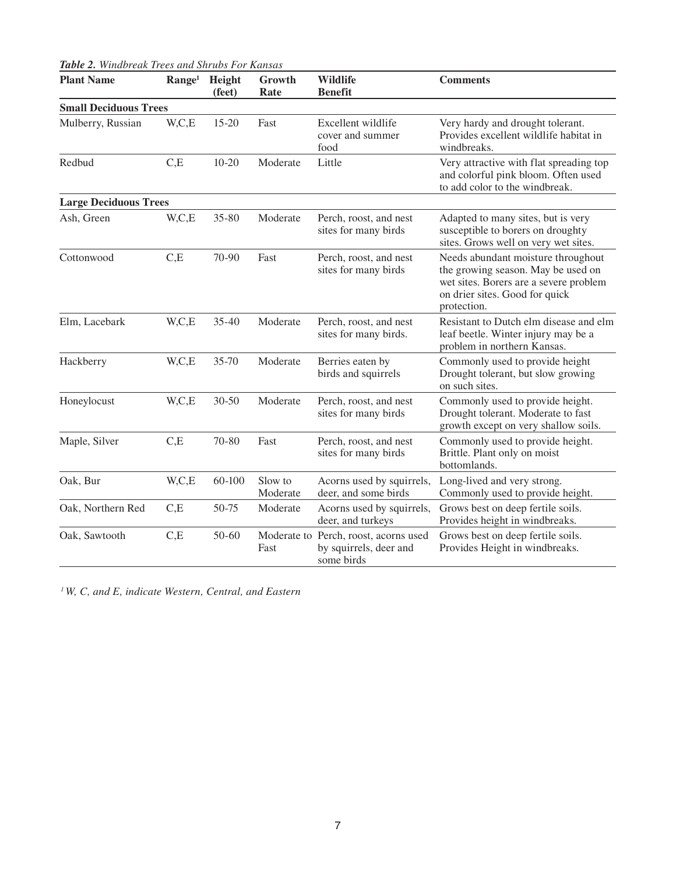|--|

| <b>Plant Name</b>            | Range <sup>1</sup> | Height<br>(feet) | Growth<br>Rate      | <b>Wildlife</b><br><b>Benefit</b>                                             | <b>Comments</b>                                                                                                                                                     |  |
|------------------------------|--------------------|------------------|---------------------|-------------------------------------------------------------------------------|---------------------------------------------------------------------------------------------------------------------------------------------------------------------|--|
| <b>Small Deciduous Trees</b> |                    |                  |                     |                                                                               |                                                                                                                                                                     |  |
| Mulberry, Russian            | W,C,E              | $15 - 20$        | Fast                | Excellent wildlife<br>cover and summer<br>food                                | Very hardy and drought tolerant.<br>Provides excellent wildlife habitat in<br>windbreaks.                                                                           |  |
| Redbud                       | C,E                | $10 - 20$        | Moderate            | Little                                                                        | Very attractive with flat spreading top<br>and colorful pink bloom. Often used<br>to add color to the windbreak.                                                    |  |
| <b>Large Deciduous Trees</b> |                    |                  |                     |                                                                               |                                                                                                                                                                     |  |
| Ash, Green                   | W,C,E              | $35 - 80$        | Moderate            | Perch, roost, and nest<br>sites for many birds                                | Adapted to many sites, but is very<br>susceptible to borers on droughty<br>sites. Grows well on very wet sites.                                                     |  |
| Cottonwood                   | C,E                | 70-90            | Fast                | Perch, roost, and nest<br>sites for many birds                                | Needs abundant moisture throughout<br>the growing season. May be used on<br>wet sites. Borers are a severe problem<br>on drier sites. Good for quick<br>protection. |  |
| Elm, Lacebark                | W,C,E              | $35 - 40$        | Moderate            | Perch, roost, and nest<br>sites for many birds.                               | Resistant to Dutch elm disease and elm<br>leaf beetle. Winter injury may be a<br>problem in northern Kansas.                                                        |  |
| Hackberry                    | W, C, E            | $35 - 70$        | Moderate            | Berries eaten by<br>birds and squirrels                                       | Commonly used to provide height<br>Drought tolerant, but slow growing<br>on such sites.                                                                             |  |
| Honeylocust                  | W,C,E              | $30 - 50$        | Moderate            | Perch, roost, and nest<br>sites for many birds                                | Commonly used to provide height.<br>Drought tolerant. Moderate to fast<br>growth except on very shallow soils.                                                      |  |
| Maple, Silver                | C,E                | $70 - 80$        | Fast                | Perch, roost, and nest<br>sites for many birds                                | Commonly used to provide height.<br>Brittle. Plant only on moist<br>bottomlands.                                                                                    |  |
| Oak, Bur                     | W,C,E              | 60-100           | Slow to<br>Moderate | Acorns used by squirrels,<br>deer, and some birds                             | Long-lived and very strong.<br>Commonly used to provide height.                                                                                                     |  |
| Oak, Northern Red            | C,E                | 50-75            | Moderate            | Acorns used by squirrels,<br>deer, and turkeys                                | Grows best on deep fertile soils.<br>Provides height in windbreaks.                                                                                                 |  |
| Oak, Sawtooth                | C,E                | 50-60            | Fast                | Moderate to Perch, roost, acorns used<br>by squirrels, deer and<br>some birds | Grows best on deep fertile soils.<br>Provides Height in windbreaks.                                                                                                 |  |

*1 W, C, and E, indicate Western, Central, and Eastern*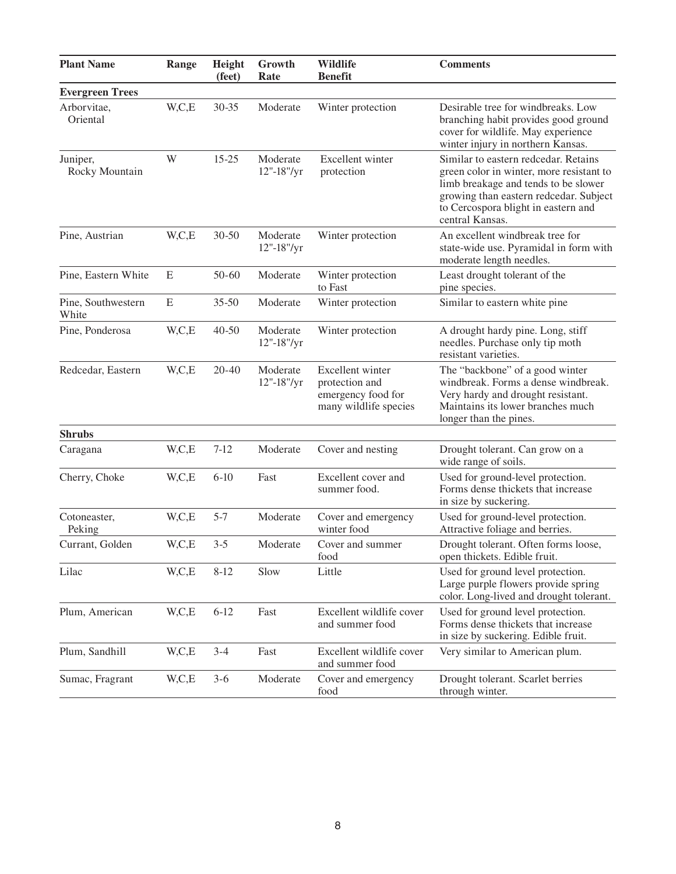| <b>Plant Name</b>           | Range | Height<br>(feet) | Growth<br>Rate         | <b>Wildlife</b><br><b>Benefit</b>                                                 | <b>Comments</b>                                                                                                                                                                                                              |  |
|-----------------------------|-------|------------------|------------------------|-----------------------------------------------------------------------------------|------------------------------------------------------------------------------------------------------------------------------------------------------------------------------------------------------------------------------|--|
| <b>Evergreen Trees</b>      |       |                  |                        |                                                                                   |                                                                                                                                                                                                                              |  |
| Arborvitae,<br>Oriental     | W,C,E | $30 - 35$        | Moderate               | Winter protection                                                                 | Desirable tree for windbreaks. Low<br>branching habit provides good ground<br>cover for wildlife. May experience<br>winter injury in northern Kansas.                                                                        |  |
| Juniper,<br>Rocky Mountain  | W     | $15 - 25$        | Moderate<br>12"-18"/yr | Excellent winter<br>protection                                                    | Similar to eastern redcedar. Retains<br>green color in winter, more resistant to<br>limb breakage and tends to be slower<br>growing than eastern redcedar. Subject<br>to Cercospora blight in eastern and<br>central Kansas. |  |
| Pine, Austrian              | W,C,E | $30 - 50$        | Moderate<br>12"-18"/yr | Winter protection                                                                 | An excellent windbreak tree for<br>state-wide use. Pyramidal in form with<br>moderate length needles.                                                                                                                        |  |
| Pine, Eastern White         | E     | 50-60            | Moderate               | Winter protection<br>to Fast                                                      | Least drought tolerant of the<br>pine species.                                                                                                                                                                               |  |
| Pine, Southwestern<br>White | E     | $35 - 50$        | Moderate               | Winter protection                                                                 | Similar to eastern white pine                                                                                                                                                                                                |  |
| Pine, Ponderosa             | W,C,E | $40 - 50$        | Moderate<br>12"-18"/yr | Winter protection                                                                 | A drought hardy pine. Long, stiff<br>needles. Purchase only tip moth<br>resistant varieties.                                                                                                                                 |  |
| Redcedar, Eastern           | W,C,E | $20 - 40$        | Moderate<br>12"-18"/yr | Excellent winter<br>protection and<br>emergency food for<br>many wildlife species | The "backbone" of a good winter<br>windbreak. Forms a dense windbreak.<br>Very hardy and drought resistant.<br>Maintains its lower branches much<br>longer than the pines.                                                   |  |
| <b>Shrubs</b>               |       |                  |                        |                                                                                   |                                                                                                                                                                                                                              |  |
| Caragana                    | W,C,E | $7 - 12$         | Moderate               | Cover and nesting                                                                 | Drought tolerant. Can grow on a<br>wide range of soils.                                                                                                                                                                      |  |
| Cherry, Choke               | W,C,E | $6-10$           | Fast                   | Excellent cover and<br>summer food.                                               | Used for ground-level protection.<br>Forms dense thickets that increase<br>in size by suckering.                                                                                                                             |  |
| Cotoneaster,<br>Peking      | W,C,E | $5 - 7$          | Moderate               | Cover and emergency<br>winter food                                                | Used for ground-level protection.<br>Attractive foliage and berries.                                                                                                                                                         |  |
| Currant, Golden             | W,C,E | $3 - 5$          | Moderate               | Cover and summer<br>food                                                          | Drought tolerant. Often forms loose,<br>open thickets. Edible fruit.                                                                                                                                                         |  |
| Lilac                       | W,C,E | $8 - 12$         | Slow                   | Little                                                                            | Used for ground level protection.<br>Large purple flowers provide spring<br>color. Long-lived and drought tolerant.                                                                                                          |  |
| Plum, American              | W,C,E | $6 - 12$         | Fast                   | Excellent wildlife cover<br>and summer food                                       | Used for ground level protection.<br>Forms dense thickets that increase<br>in size by suckering. Edible fruit.                                                                                                               |  |
| Plum, Sandhill              | W,C,E | $3 - 4$          | Fast                   | Excellent wildlife cover<br>and summer food                                       | Very similar to American plum.                                                                                                                                                                                               |  |
| Sumac, Fragrant             | W,C,E | $3 - 6$          | Moderate               | Cover and emergency<br>food                                                       | Drought tolerant. Scarlet berries<br>through winter.                                                                                                                                                                         |  |